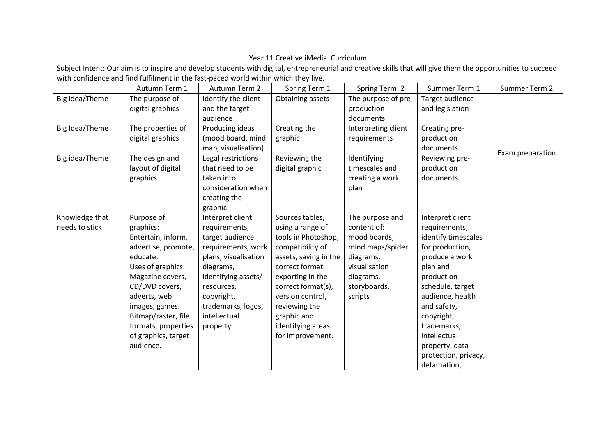| Year 11 Creative iMedia Curriculum                                                                                                                            |                     |                      |                       |                     |                      |                  |  |  |  |  |
|---------------------------------------------------------------------------------------------------------------------------------------------------------------|---------------------|----------------------|-----------------------|---------------------|----------------------|------------------|--|--|--|--|
| Subject Intent: Our aim is to inspire and develop students with digital, entrepreneurial and creative skills that will give them the opportunities to succeed |                     |                      |                       |                     |                      |                  |  |  |  |  |
| with confidence and find fulfilment in the fast-paced world within which they live.                                                                           |                     |                      |                       |                     |                      |                  |  |  |  |  |
|                                                                                                                                                               | Autumn Term 1       | Autumn Term 2        | Spring Term 1         | Spring Term 2       | Summer Term 1        | Summer Term 2    |  |  |  |  |
| Big idea/Theme                                                                                                                                                | The purpose of      | Identify the client  | Obtaining assets      | The purpose of pre- | Target audience      |                  |  |  |  |  |
|                                                                                                                                                               | digital graphics    | and the target       |                       | production          | and legislation      |                  |  |  |  |  |
|                                                                                                                                                               |                     | audience             |                       | documents           |                      |                  |  |  |  |  |
| Big Idea/Theme                                                                                                                                                | The properties of   | Producing ideas      | Creating the          | Interpreting client | Creating pre-        |                  |  |  |  |  |
|                                                                                                                                                               | digital graphics    | (mood board, mind    | graphic               | requirements        | production           |                  |  |  |  |  |
|                                                                                                                                                               |                     | map, visualisation)  |                       |                     | documents            | Exam preparation |  |  |  |  |
| Big idea/Theme                                                                                                                                                | The design and      | Legal restrictions   | Reviewing the         | Identifying         | Reviewing pre-       |                  |  |  |  |  |
|                                                                                                                                                               | layout of digital   | that need to be      | digital graphic       | timescales and      | production           |                  |  |  |  |  |
|                                                                                                                                                               | graphics            | taken into           |                       | creating a work     | documents            |                  |  |  |  |  |
|                                                                                                                                                               |                     | consideration when   |                       | plan                |                      |                  |  |  |  |  |
|                                                                                                                                                               |                     | creating the         |                       |                     |                      |                  |  |  |  |  |
|                                                                                                                                                               |                     | graphic              |                       |                     |                      |                  |  |  |  |  |
| Knowledge that                                                                                                                                                | Purpose of          | Interpret client     | Sources tables,       | The purpose and     | Interpret client     |                  |  |  |  |  |
| needs to stick                                                                                                                                                | graphics:           | requirements,        | using a range of      | content of:         | requirements,        |                  |  |  |  |  |
|                                                                                                                                                               | Entertain, inform,  | target audience      | tools in Photoshop,   | mood boards,        | identify timescales  |                  |  |  |  |  |
|                                                                                                                                                               | advertise, promote, | requirements, work   | compatibility of      | mind maps/spider    | for production,      |                  |  |  |  |  |
|                                                                                                                                                               | educate.            | plans, visualisation | assets, saving in the | diagrams,           | produce a work       |                  |  |  |  |  |
|                                                                                                                                                               | Uses of graphics:   | diagrams,            | correct format,       | visualisation       | plan and             |                  |  |  |  |  |
|                                                                                                                                                               | Magazine covers,    | identifying assets/  | exporting in the      | diagrams,           | production           |                  |  |  |  |  |
|                                                                                                                                                               | CD/DVD covers,      | resources,           | correct format(s),    | storyboards,        | schedule, target     |                  |  |  |  |  |
|                                                                                                                                                               | adverts, web        | copyright,           | version control,      | scripts             | audience, health     |                  |  |  |  |  |
|                                                                                                                                                               | images, games.      | trademarks, logos,   | reviewing the         |                     | and safety,          |                  |  |  |  |  |
|                                                                                                                                                               | Bitmap/raster, file | intellectual         | graphic and           |                     | copyright,           |                  |  |  |  |  |
|                                                                                                                                                               | formats, properties | property.            | identifying areas     |                     | trademarks,          |                  |  |  |  |  |
|                                                                                                                                                               | of graphics, target |                      | for improvement.      |                     | intellectual         |                  |  |  |  |  |
|                                                                                                                                                               | audience.           |                      |                       |                     | property, data       |                  |  |  |  |  |
|                                                                                                                                                               |                     |                      |                       |                     | protection, privacy, |                  |  |  |  |  |
|                                                                                                                                                               |                     |                      |                       |                     | defamation,          |                  |  |  |  |  |